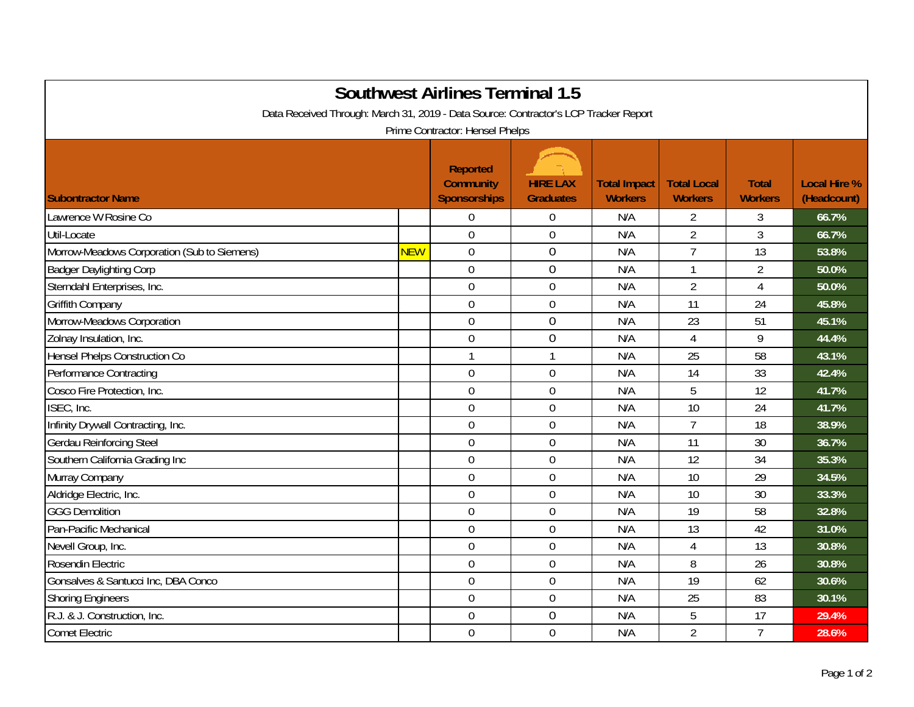| <b>Southwest Airlines Terminal 1.5</b><br>Data Received Through: March 31, 2019 - Data Source: Contractor's LCP Tracker Report<br>Prime Contractor: Hensel Phelps |            |                                                            |                                     |                                       |                                      |                                |                                    |  |  |  |  |
|-------------------------------------------------------------------------------------------------------------------------------------------------------------------|------------|------------------------------------------------------------|-------------------------------------|---------------------------------------|--------------------------------------|--------------------------------|------------------------------------|--|--|--|--|
| <b>Subontractor Name</b>                                                                                                                                          |            | <b>Reported</b><br><b>Community</b><br><b>Sponsorships</b> | <b>HIRE LAX</b><br><b>Graduates</b> | <b>Total Impact</b><br><b>Workers</b> | <b>Total Local</b><br><b>Workers</b> | <b>Total</b><br><b>Workers</b> | <b>Local Hire %</b><br>(Headcount) |  |  |  |  |
| Lawrence W Rosine Co                                                                                                                                              |            | $\mathbf 0$                                                | $\overline{0}$                      | N/A                                   | $\overline{2}$                       | 3                              | 66.7%                              |  |  |  |  |
| Util-Locate                                                                                                                                                       |            | $\overline{0}$                                             | 0                                   | N/A                                   | $\overline{2}$                       | $\overline{3}$                 | 66.7%                              |  |  |  |  |
| Morrow-Meadows Corporation (Sub to Siemens)                                                                                                                       | <b>NEW</b> | $\mathbf 0$                                                | $\overline{0}$                      | N/A                                   | $\overline{7}$                       | 13                             | 53.8%                              |  |  |  |  |
| <b>Badger Daylighting Corp</b>                                                                                                                                    |            | $\mathbf 0$                                                | $\boldsymbol{0}$                    | N/A                                   | $\mathbf{1}$                         | $\overline{2}$                 | 50.0%                              |  |  |  |  |
| Sterndahl Enterprises, Inc.                                                                                                                                       |            | $\mathbf 0$                                                | $\mathbf 0$                         | N/A                                   | $\overline{2}$                       | 4                              | 50.0%                              |  |  |  |  |
| <b>Griffith Company</b>                                                                                                                                           |            | $\mathbf 0$                                                | $\mathbf 0$                         | N/A                                   | 11                                   | 24                             | 45.8%                              |  |  |  |  |
| Morrow-Meadows Corporation                                                                                                                                        |            | $\boldsymbol{0}$                                           | $\mathbf 0$                         | N/A                                   | 23                                   | 51                             | 45.1%                              |  |  |  |  |
| Zolnay Insulation, Inc.                                                                                                                                           |            | $\boldsymbol{0}$                                           | $\mathbf 0$                         | N/A                                   | 4                                    | 9                              | 44.4%                              |  |  |  |  |
| Hensel Phelps Construction Co                                                                                                                                     |            | $\mathbf{1}$                                               | $\mathbf{1}$                        | N/A                                   | 25                                   | 58                             | 43.1%                              |  |  |  |  |
| Performance Contracting                                                                                                                                           |            | $\mathbf 0$                                                | $\mathbf 0$                         | N/A                                   | 14                                   | 33                             | 42.4%                              |  |  |  |  |
| Cosco Fire Protection, Inc.                                                                                                                                       |            | $\mathbf 0$                                                | $\mathbf 0$                         | N/A                                   | 5                                    | 12                             | 41.7%                              |  |  |  |  |
| ISEC, Inc.                                                                                                                                                        |            | $\overline{0}$                                             | $\mathbf 0$                         | N/A                                   | 10                                   | 24                             | 41.7%                              |  |  |  |  |
| Infinity Drywall Contracting, Inc.                                                                                                                                |            | $\overline{0}$                                             | $\overline{0}$                      | N/A                                   | $\overline{7}$                       | 18                             | 38.9%                              |  |  |  |  |
| <b>Gerdau Reinforcing Steel</b>                                                                                                                                   |            | $\boldsymbol{0}$                                           | $\boldsymbol{0}$                    | N/A                                   | 11                                   | 30                             | 36.7%                              |  |  |  |  |
| Southern California Grading Inc                                                                                                                                   |            | $\mathbf 0$                                                | $\mathbf 0$                         | N/A                                   | 12                                   | 34                             | 35.3%                              |  |  |  |  |
| Murray Company                                                                                                                                                    |            | $\mathbf 0$                                                | $\mathbf 0$                         | N/A                                   | 10                                   | 29                             | 34.5%                              |  |  |  |  |
| Aldridge Electric, Inc.                                                                                                                                           |            | $\overline{0}$                                             | $\overline{0}$                      | N/A                                   | 10                                   | 30                             | 33.3%                              |  |  |  |  |
| <b>GGG Demolition</b>                                                                                                                                             |            | $\mathbf 0$                                                | $\mathbf 0$                         | N/A                                   | 19                                   | 58                             | 32.8%                              |  |  |  |  |
| Pan-Pacific Mechanical                                                                                                                                            |            | $\overline{0}$                                             | $\overline{0}$                      | N/A                                   | 13                                   | 42                             | 31.0%                              |  |  |  |  |
| Nevell Group, Inc.                                                                                                                                                |            | $\mathbf 0$                                                | $\mathbf 0$                         | N/A                                   | 4                                    | 13                             | 30.8%                              |  |  |  |  |
| Rosendin Electric                                                                                                                                                 |            | $\boldsymbol{0}$                                           | $\boldsymbol{0}$                    | N/A                                   | 8                                    | 26                             | 30.8%                              |  |  |  |  |
| Gonsalves & Santucci Inc, DBA Conco                                                                                                                               |            | $\mathbf 0$                                                | $\mathbf 0$                         | N/A                                   | 19                                   | 62                             | 30.6%                              |  |  |  |  |
| <b>Shoring Engineers</b>                                                                                                                                          |            | $\boldsymbol{0}$                                           | $\mathbf 0$                         | N/A                                   | 25                                   | 83                             | 30.1%                              |  |  |  |  |
| R.J. & J. Construction, Inc.                                                                                                                                      |            | $\mathbf 0$                                                | $\overline{0}$                      | N/A                                   | 5                                    | 17                             | 29.4%                              |  |  |  |  |
| <b>Comet Electric</b>                                                                                                                                             |            | $\mathbf 0$                                                | $\mathbf 0$                         | N/A                                   | $\overline{2}$                       | $\overline{7}$                 | 28.6%                              |  |  |  |  |